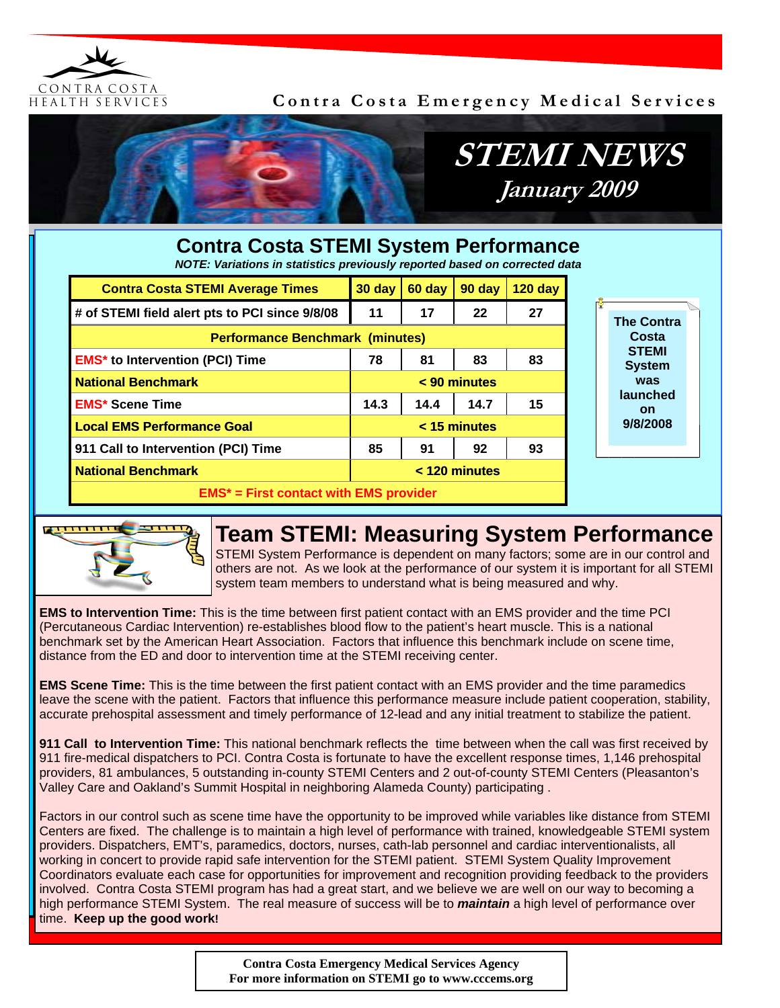

#### **Contra Costa Emergency Medical Services**



# **STEMI NEWS January 2009**

| <b>Contra Costa STEMI System Performance</b><br>NOTE: Variations in statistics previously reported based on corrected data |                |        |        |           |          |                               |
|----------------------------------------------------------------------------------------------------------------------------|----------------|--------|--------|-----------|----------|-------------------------------|
| <b>Contra Costa STEMI Average Times</b>                                                                                    | 30 day         | 60 day | 90 day | $120$ day |          |                               |
| # of STEMI field alert pts to PCI since 9/8/08                                                                             | 11             | 17     | 22     | 27        |          | <b>The Contra</b>             |
| <b>Performance Benchmark (minutes)</b>                                                                                     |                |        |        |           |          | Costa                         |
| <b>EMS*</b> to Intervention (PCI) Time                                                                                     | 78             | 81     | 83     | 83        |          | <b>STEMI</b><br><b>System</b> |
| <b>National Benchmark</b>                                                                                                  | $< 90$ minutes |        |        |           |          | was                           |
| <b>EMS* Scene Time</b>                                                                                                     | 14.3           | 14.4   | 14.7   | 15        |          | launched<br><b>on</b>         |
| <b>Local EMS Performance Goal</b>                                                                                          | < 15 minutes   |        |        |           | 9/8/2008 |                               |
| 911 Call to Intervention (PCI) Time                                                                                        | 85             | 91     | 92     | 93        |          |                               |
| <b>National Benchmark</b>                                                                                                  | < 120 minutes  |        |        |           |          |                               |
| $EMS*$ = First contact with EMS provider                                                                                   |                |        |        |           |          |                               |



## **Team STEMI: Measuring System Performance**

STEMI System Performance is dependent on many factors; some are in our control and others are not. As we look at the performance of our system it is important for all STEMI system team members to understand what is being measured and why.

**EMS to Intervention Time:** This is the time between first patient contact with an EMS provider and the time PCI (Percutaneous Cardiac Intervention) re-establishes blood flow to the patient's heart muscle. This is a national benchmark set by the American Heart Association. Factors that influence this benchmark include on scene time, distance from the ED and door to intervention time at the STEMI receiving center.

**EMS Scene Time:** This is the time between the first patient contact with an EMS provider and the time paramedics leave the scene with the patient. Factors that influence this performance measure include patient cooperation, stability, accurate prehospital assessment and timely performance of 12-lead and any initial treatment to stabilize the patient.

**911 Call to Intervention Time:** This national benchmark reflects the time between when the call was first received by 911 fire-medical dispatchers to PCI. Contra Costa is fortunate to have the excellent response times, 1,146 prehospital providers, 81 ambulances, 5 outstanding in-county STEMI Centers and 2 out-of-county STEMI Centers (Pleasanton's Valley Care and Oakland's Summit Hospital in neighboring Alameda County) participating .

Factors in our control such as scene time have the opportunity to be improved while variables like distance from STEMI Centers are fixed. The challenge is to maintain a high level of performance with trained, knowledgeable STEMI system providers. Dispatchers, EMT's, paramedics, doctors, nurses, cath-lab personnel and cardiac interventionalists, all working in concert to provide rapid safe intervention for the STEMI patient. STEMI System Quality Improvement Coordinators evaluate each case for opportunities for improvement and recognition providing feedback to the providers involved. Contra Costa STEMI program has had a great start, and we believe we are well on our way to becoming a high performance STEMI System. The real measure of success will be to *maintain* a high level of performance over time. **Keep up the good work!**

> **Contra Costa Emergency Medical Services Agency For more information on STEMI go to www.cccems.org**